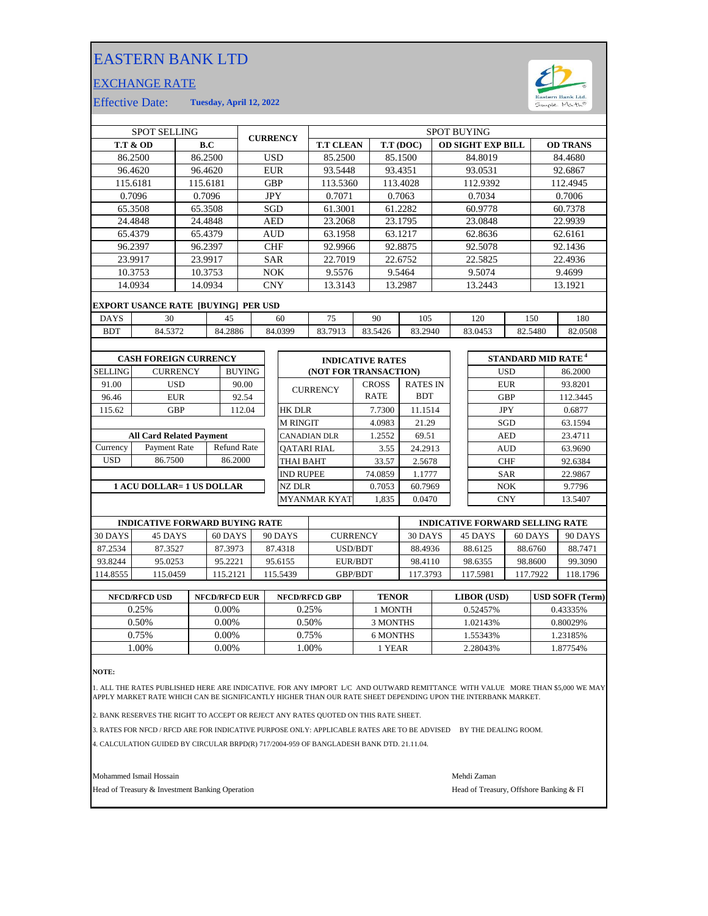## EASTERN BANK LTD

## EXCHANGE RATE



9.7796

CNY 13.5407

Effective Date: **Tuesday, April 12, 2022**

|                | <b>SPOT SELLING</b>                        |          |        |                    |            | <b>CURRENCY</b>    |                         |              |                 |  | <b>SPOT BUYING</b>       |            |                                      |
|----------------|--------------------------------------------|----------|--------|--------------------|------------|--------------------|-------------------------|--------------|-----------------|--|--------------------------|------------|--------------------------------------|
|                | <b>T.T &amp; OD</b>                        |          | B.C    |                    |            |                    | <b>T.T CLEAN</b>        |              | T.T (DOC)       |  | <b>OD SIGHT EXP BILL</b> |            | <b>OD TRANS</b>                      |
|                | 86.2500                                    | 86.2500  |        |                    | <b>USD</b> |                    | 85.2500                 |              | 85.1500         |  | 84.8019                  |            | 84.4680                              |
|                | 96.4620                                    | 96.4620  |        |                    | <b>EUR</b> |                    | 93.5448                 |              | 93.4351         |  | 93.0531                  |            | 92.6867                              |
|                | 115.6181                                   | 115.6181 |        |                    | <b>GBP</b> |                    | 113.5360                |              | 113.4028        |  | 112.9392                 |            | 112.4945                             |
|                | 0.7096                                     |          | 0.7096 |                    | <b>JPY</b> |                    | 0.7071                  |              | 0.7063          |  | 0.7034                   |            | 0.7006                               |
|                | 65.3508                                    | 65.3508  |        |                    | SGD        |                    | 61.3001                 |              | 61.2282         |  | 60.9778                  |            | 60.7378                              |
|                | 24.4848                                    | 24.4848  |        |                    | <b>AED</b> |                    | 23.2068                 |              | 23.1795         |  | 23.0848                  |            | 22.9939                              |
|                | 65.4379                                    | 65.4379  |        |                    | <b>AUD</b> |                    | 63.1958                 |              | 63.1217         |  | 62.8636                  |            | 62.6161                              |
|                | 96.2397                                    | 96.2397  |        |                    | <b>CHF</b> |                    | 92.9966                 |              | 92.8875         |  | 92.5078                  |            | 92.1436                              |
|                | 23.9917                                    | 23.9917  |        |                    | <b>SAR</b> |                    | 22.7019                 |              | 22.6752         |  | 22.5825                  |            | 22.4936                              |
|                | 10.3753                                    | 10.3753  |        |                    | <b>NOK</b> |                    | 9.5576                  |              | 9.5464          |  | 9.5074                   |            | 9.4699                               |
|                | 14.0934                                    | 14.0934  |        |                    | <b>CNY</b> |                    | 13.3143                 |              | 13.2987         |  | 13.2443                  |            | 13.1921                              |
|                |                                            |          |        |                    |            |                    |                         |              |                 |  |                          |            |                                      |
|                | <b>EXPORT USANCE RATE [BUYING] PER USD</b> |          |        |                    |            |                    |                         |              |                 |  |                          |            |                                      |
| <b>DAYS</b>    | 30                                         |          |        | 45                 |            | 60                 | 75                      | 90           | 105             |  | 120                      | 150        | 180                                  |
| <b>BDT</b>     | 84.5372                                    |          |        | 84.2886            |            | 84.0399            | 83.7913                 | 83.5426      | 83.2940         |  | 83.0453                  | 82.5480    | 82.0508                              |
|                |                                            |          |        |                    |            |                    |                         |              |                 |  |                          |            |                                      |
|                | <b>CASH FOREIGN CURRENCY</b>               |          |        |                    |            |                    | <b>INDICATIVE RATES</b> |              |                 |  |                          |            | <b>STANDARD MID RATE<sup>4</sup></b> |
| <b>SELLING</b> | <b>CURRENCY</b>                            |          |        | <b>BUYING</b>      |            |                    | (NOT FOR TRANSACTION)   |              |                 |  |                          | <b>USD</b> | 86.2000                              |
| 91.00          | <b>USD</b>                                 |          |        | 90.00              |            |                    | <b>CURRENCY</b>         | <b>CROSS</b> | <b>RATES IN</b> |  |                          | <b>EUR</b> | 93.8201                              |
| 96.46          | <b>EUR</b>                                 |          |        | 92.54              |            |                    |                         | <b>RATE</b>  | <b>BDT</b>      |  |                          | <b>GBP</b> | 112.3445                             |
| 115.62         | <b>GBP</b>                                 |          |        | 112.04             |            | <b>HK DLR</b>      |                         | 7.7300       | 11.1514         |  |                          | <b>JPY</b> | 0.6877                               |
|                |                                            |          |        |                    |            | <b>M RINGIT</b>    |                         | 4.0983       | 21.29           |  |                          | SGD        | 63.1594                              |
|                | <b>All Card Related Payment</b>            |          |        |                    |            |                    | <b>CANADIAN DLR</b>     | 1.2552       | 69.51           |  |                          | <b>AED</b> | 23.4711                              |
| Currency       | Payment Rate                               |          |        | <b>Refund Rate</b> |            | <b>OATARI RIAL</b> |                         | 3.55         | 24.2913         |  |                          | <b>AUD</b> | 63.9690                              |
| <b>USD</b>     | 86.7500                                    |          |        | 86.2000            |            | THAI BAHT          |                         | 33.57        | 2.5678          |  |                          | <b>CHF</b> | 92.6384                              |
|                |                                            |          |        |                    |            | <b>IND RUPEE</b>   |                         | 74.0859      | 1.1777          |  |                          | <b>SAR</b> | 22.9867                              |

**1 ACU DOLLAR= 1 US DOLLAR**

| <b>CURRENCY</b>     | URUSS   | RATES IN   | EUK.       |
|---------------------|---------|------------|------------|
|                     | RATE    | <b>BDT</b> | <b>GBP</b> |
| HK DLR              | 7.7300  | 11.1514    | <b>JPY</b> |
| <b>M RINGIT</b>     | 4.0983  | 21.29      | SGD        |
| <b>CANADIAN DLR</b> | 1.2552  | 69.51      | <b>AED</b> |
| <b>OATARI RIAL</b>  | 3.55    | 24.2913    | <b>AUD</b> |
| <b>THAI BAHT</b>    | 33.57   | 2.5678     | <b>CHF</b> |
| <b>IND RUPEE</b>    | 74.0859 | 1.1777     | <b>SAR</b> |
| <b>NZ DLR</b>       | 0.7053  | 60.7969    | <b>NOK</b> |
| <b>MYANMAR KYAT</b> | 1,835   | 0.0470     | <b>CNY</b> |

|          | <b>INDICATIVE FORWARD BUYING RATE</b> |          |         |                 |          | <b>INDICATIVE FORWARD SELLING RATE</b> |          |          |
|----------|---------------------------------------|----------|---------|-----------------|----------|----------------------------------------|----------|----------|
| 30 DAYS  | 45 DAYS                               | 60 DAYS  | 90 DAYS | <b>CURRENCY</b> | 30 DAYS  | 45 DAYS                                | 60 DAYS  | 90 DAYS  |
| 87.2534  | 87.3527                               | 87.3973  | 87.4318 | USD/BDT         | 88.4936  | 88.6125                                | 88.6760  | 88.7471  |
| 93.8244  | 95.0253                               | 95.2221  | 95.6155 | EUR/BDT         | 98.4110  | 98.6355                                | 98.8600  | 99.3090  |
| 114.8555 | 115.0459                              | 115.2121 | 15.5439 | <b>GBP/BDT</b>  | 117.3793 | 117.5981                               | 117.7922 | 118.1796 |
|          |                                       |          |         |                 |          |                                        |          |          |

| <b>NFCD/RFCD USD</b> | <b>NFCD/RFCD EUR</b> | <b>NFCD/RFCD GBP</b> | <b>TENOR</b> | <b>LIBOR</b> (USD) | <b>USD SOFR (Term)</b> |
|----------------------|----------------------|----------------------|--------------|--------------------|------------------------|
| 0.25%                | 0.00%                | 0.25%                | 1 MONTH      | 0.52457%           | 0.43335%               |
| 0.50%                | 0.00%                | 0.50%                | 3 MONTHS     | 1.02143%           | 0.80029%               |
| 0.75%                | 0.00%                | 0.75%                | 6 MONTHS     | 1.55343%           | 1.23185%               |
| .00%                 | 0.00%                | .00%                 | l YEAR       | 2.28043%           | 1.87754%               |
|                      |                      |                      |              |                    |                        |

**NOTE:**

1. ALL THE RATES PUBLISHED HERE ARE INDICATIVE. FOR ANY IMPORT L/C AND OUTWARD REMITTANCE WITH VALUE MORE THAN \$5,000 WE MAY APPLY MARKET RATE WHICH CAN BE SIGNIFICANTLY HIGHER THAN OUR RATE SHEET DEPENDING UPON THE INTERBANK MARKET.

2. BANK RESERVES THE RIGHT TO ACCEPT OR REJECT ANY RATES QUOTED ON THIS RATE SHEET.

3. RATES FOR NFCD / RFCD ARE FOR INDICATIVE PURPOSE ONLY: APPLICABLE RATES ARE TO BE ADVISED BY THE DEALING ROOM.

4. CALCULATION GUIDED BY CIRCULAR BRPD(R) 717/2004-959 OF BANGLADESH BANK DTD. 21.11.04.

Mohammed Ismail Hossain Mehdi Zaman

Head of Treasury & Investment Banking Operation **Head of Treasury, Offshore Banking & FI**